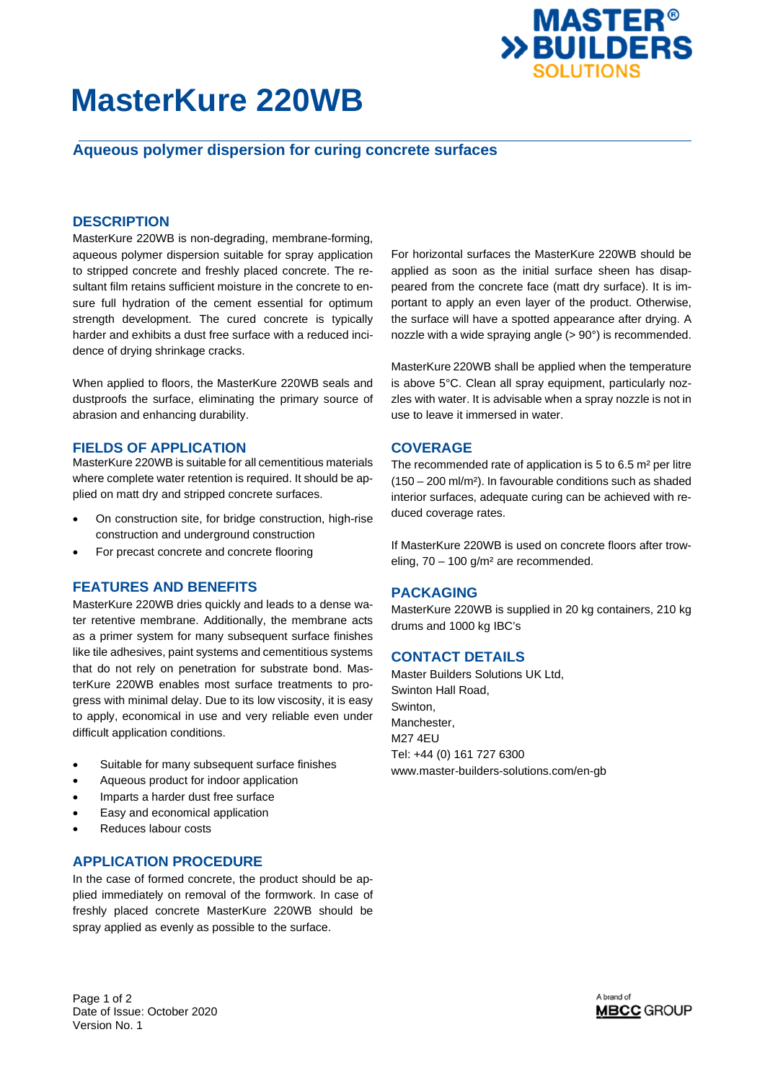

# **MasterKure 220WB**

## **Aqueous polymer dispersion for curing concrete surfaces**

## **DESCRIPTION**

MasterKure 220WB is non-degrading, membrane-forming, aqueous polymer dispersion suitable for spray application to stripped concrete and freshly placed concrete. The resultant film retains sufficient moisture in the concrete to ensure full hydration of the cement essential for optimum strength development. The cured concrete is typically harder and exhibits a dust free surface with a reduced incidence of drying shrinkage cracks.

When applied to floors, the MasterKure 220WB seals and dustproofs the surface, eliminating the primary source of abrasion and enhancing durability.

#### **FIELDS OF APPLICATION**

MasterKure 220WB is suitable for all cementitious materials where complete water retention is required. It should be applied on matt dry and stripped concrete surfaces.

- On construction site, for bridge construction, high-rise construction and underground construction
- For precast concrete and concrete flooring

### **FEATURES AND BENEFITS**

MasterKure 220WB dries quickly and leads to a dense water retentive membrane. Additionally, the membrane acts as a primer system for many subsequent surface finishes like tile adhesives, paint systems and cementitious systems that do not rely on penetration for substrate bond. MasterKure 220WB enables most surface treatments to progress with minimal delay. Due to its low viscosity, it is easy to apply, economical in use and very reliable even under difficult application conditions.

- Suitable for many subsequent surface finishes
- Aqueous product for indoor application
- Imparts a harder dust free surface
- Easy and economical application
- Reduces labour costs

#### **APPLICATION PROCEDURE**

In the case of formed concrete, the product should be applied immediately on removal of the formwork. In case of freshly placed concrete MasterKure 220WB should be spray applied as evenly as possible to the surface.

For horizontal surfaces the MasterKure 220WB should be applied as soon as the initial surface sheen has disappeared from the concrete face (matt dry surface). It is important to apply an even layer of the product. Otherwise, the surface will have a spotted appearance after drying. A nozzle with a wide spraying angle (> 90°) is recommended.

MasterKure 220WB shall be applied when the temperature is above 5°C. Clean all spray equipment, particularly nozzles with water. It is advisable when a spray nozzle is not in use to leave it immersed in water.

#### **COVERAGE**

The recommended rate of application is 5 to 6.5 m² per litre (150 – 200 ml/m²). In favourable conditions such as shaded interior surfaces, adequate curing can be achieved with reduced coverage rates.

If MasterKure 220WB is used on concrete floors after troweling, 70 – 100 g/m² are recommended.

#### **PACKAGING**

MasterKure 220WB is supplied in 20 kg containers, 210 kg drums and 1000 kg IBC's

### **CONTACT DETAILS**

Master Builders Solutions UK Ltd, Swinton Hall Road, Swinton, Manchester, M27 4EU Tel: +44 (0) 161 727 6300 www.master-builders-solutions.com/en-gb

Page 1 of 2 Date of Issue: October 2020 Version No. 1